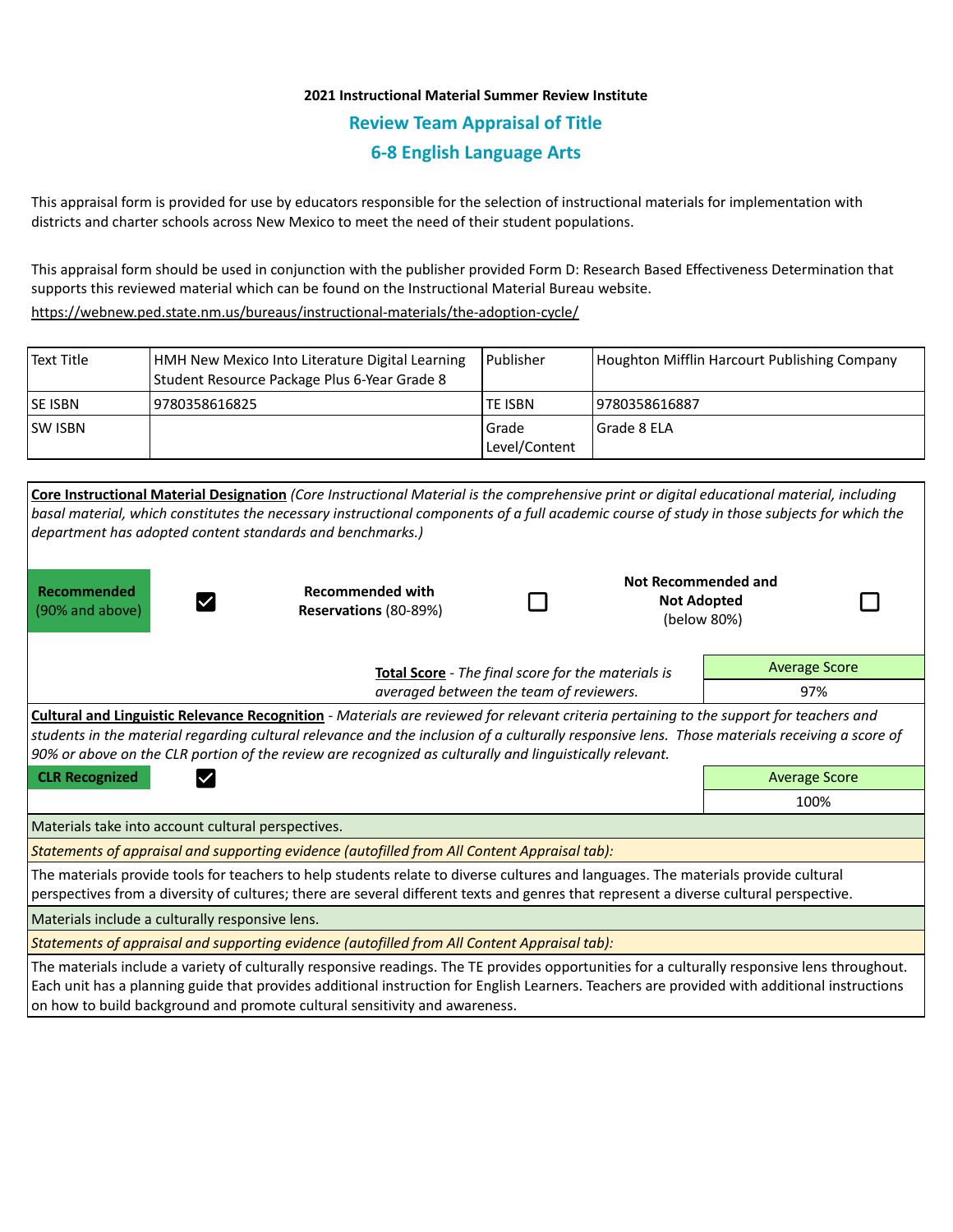## **2021 Instructional Material Summer Review Institute Review Team Appraisal of Title 6-8 English Language Arts**

This appraisal form is provided for use by educators responsible for the selection of instructional materials for implementation with districts and charter schools across New Mexico to meet the need of their student populations.

This appraisal form should be used in conjunction with the publisher provided Form D: Research Based Effectiveness Determination that supports this reviewed material which can be found on the Instructional Material Bureau website.

<https://webnew.ped.state.nm.us/bureaus/instructional-materials/the-adoption-cycle/>

on how to build background and promote cultural sensitivity and awareness.

| Text Title      | HMH New Mexico Into Literature Digital Learning<br>Student Resource Package Plus 6-Year Grade 8 | <b>Publisher</b>         | Houghton Mifflin Harcourt Publishing Company |
|-----------------|-------------------------------------------------------------------------------------------------|--------------------------|----------------------------------------------|
| <b>ISE ISBN</b> | 9780358616825                                                                                   | TE ISBN                  | 9780358616887                                |
| <b>SW ISBN</b>  |                                                                                                 | l Grade<br>Level/Content | l Grade 8 ELA                                |

|                                                                                                                                                                                                                                                                              | Core Instructional Material Designation (Core Instructional Material is the comprehensive print or digital educational material, including<br>basal material, which constitutes the necessary instructional components of a full academic course of study in those subjects for which the<br>department has adopted content standards and benchmarks.)                                              |  |                                                                 |                      |  |  |  |
|------------------------------------------------------------------------------------------------------------------------------------------------------------------------------------------------------------------------------------------------------------------------------|-----------------------------------------------------------------------------------------------------------------------------------------------------------------------------------------------------------------------------------------------------------------------------------------------------------------------------------------------------------------------------------------------------|--|-----------------------------------------------------------------|----------------------|--|--|--|
| Recommended<br>(90% and above)                                                                                                                                                                                                                                               | <b>Recommended with</b><br>Reservations (80-89%)                                                                                                                                                                                                                                                                                                                                                    |  | <b>Not Recommended and</b><br><b>Not Adopted</b><br>(below 80%) |                      |  |  |  |
|                                                                                                                                                                                                                                                                              | Total Score - The final score for the materials is                                                                                                                                                                                                                                                                                                                                                  |  |                                                                 | <b>Average Score</b> |  |  |  |
|                                                                                                                                                                                                                                                                              | averaged between the team of reviewers.                                                                                                                                                                                                                                                                                                                                                             |  |                                                                 | 97%                  |  |  |  |
|                                                                                                                                                                                                                                                                              | Cultural and Linguistic Relevance Recognition - Materials are reviewed for relevant criteria pertaining to the support for teachers and<br>students in the material regarding cultural relevance and the inclusion of a culturally responsive lens. Those materials receiving a score of<br>90% or above on the CLR portion of the review are recognized as culturally and linguistically relevant. |  |                                                                 |                      |  |  |  |
| <b>CLR Recognized</b>                                                                                                                                                                                                                                                        |                                                                                                                                                                                                                                                                                                                                                                                                     |  |                                                                 | <b>Average Score</b> |  |  |  |
|                                                                                                                                                                                                                                                                              |                                                                                                                                                                                                                                                                                                                                                                                                     |  |                                                                 | 100%                 |  |  |  |
| Materials take into account cultural perspectives.                                                                                                                                                                                                                           |                                                                                                                                                                                                                                                                                                                                                                                                     |  |                                                                 |                      |  |  |  |
| Statements of appraisal and supporting evidence (autofilled from All Content Appraisal tab):                                                                                                                                                                                 |                                                                                                                                                                                                                                                                                                                                                                                                     |  |                                                                 |                      |  |  |  |
| The materials provide tools for teachers to help students relate to diverse cultures and languages. The materials provide cultural<br>perspectives from a diversity of cultures; there are several different texts and genres that represent a diverse cultural perspective. |                                                                                                                                                                                                                                                                                                                                                                                                     |  |                                                                 |                      |  |  |  |
| Materials include a culturally responsive lens.                                                                                                                                                                                                                              |                                                                                                                                                                                                                                                                                                                                                                                                     |  |                                                                 |                      |  |  |  |
|                                                                                                                                                                                                                                                                              | Statements of appraisal and supporting evidence (autofilled from All Content Appraisal tab):                                                                                                                                                                                                                                                                                                        |  |                                                                 |                      |  |  |  |
|                                                                                                                                                                                                                                                                              | The materials include a variety of culturally responsive readings. The TE provides opportunities for a culturally responsive lens throughout.<br>Each unit has a planning guide that provides additional instruction for English Learners. Teachers are provided with additional instructions                                                                                                       |  |                                                                 |                      |  |  |  |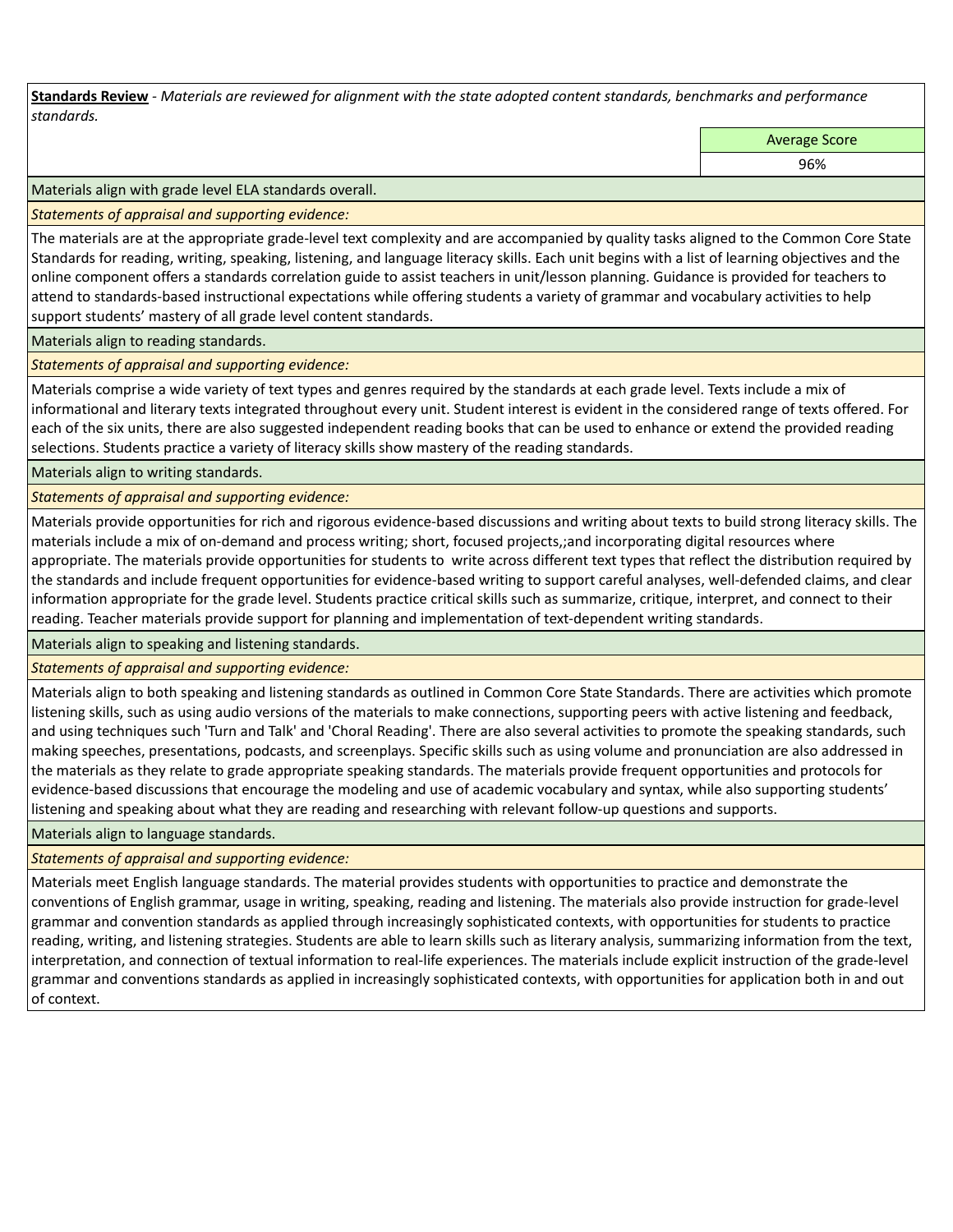**Standards Review** *- Materials are reviewed for alignment with the state adopted content standards, benchmarks and performance standards.*

Average Score

96%

Materials align with grade level ELA standards overall.

*Statements of appraisal and supporting evidence:* 

The materials are at the appropriate grade-level text complexity and are accompanied by quality tasks aligned to the Common Core State Standards for reading, writing, speaking, listening, and language literacy skills. Each unit begins with a list of learning objectives and the online component offers a standards correlation guide to assist teachers in unit/lesson planning. Guidance is provided for teachers to attend to standards-based instructional expectations while offering students a variety of grammar and vocabulary activities to help support students' mastery of all grade level content standards.

Materials align to reading standards.

*Statements of appraisal and supporting evidence:* 

Materials comprise a wide variety of text types and genres required by the standards at each grade level. Texts include a mix of informational and literary texts integrated throughout every unit. Student interest is evident in the considered range of texts offered. For each of the six units, there are also suggested independent reading books that can be used to enhance or extend the provided reading selections. Students practice a variety of literacy skills show mastery of the reading standards.

Materials align to writing standards.

*Statements of appraisal and supporting evidence:* 

Materials provide opportunities for rich and rigorous evidence-based discussions and writing about texts to build strong literacy skills. The materials include a mix of on-demand and process writing; short, focused projects,;and incorporating digital resources where appropriate. The materials provide opportunities for students to write across different text types that reflect the distribution required by the standards and include frequent opportunities for evidence-based writing to support careful analyses, well-defended claims, and clear information appropriate for the grade level. Students practice critical skills such as summarize, critique, interpret, and connect to their reading. Teacher materials provide support for planning and implementation of text-dependent writing standards.

Materials align to speaking and listening standards.

*Statements of appraisal and supporting evidence:* 

Materials align to both speaking and listening standards as outlined in Common Core State Standards. There are activities which promote listening skills, such as using audio versions of the materials to make connections, supporting peers with active listening and feedback, and using techniques such 'Turn and Talk' and 'Choral Reading'. There are also several activities to promote the speaking standards, such making speeches, presentations, podcasts, and screenplays. Specific skills such as using volume and pronunciation are also addressed in the materials as they relate to grade appropriate speaking standards. The materials provide frequent opportunities and protocols for evidence-based discussions that encourage the modeling and use of academic vocabulary and syntax, while also supporting students' listening and speaking about what they are reading and researching with relevant follow-up questions and supports.

Materials align to language standards.

*Statements of appraisal and supporting evidence:* 

Materials meet English language standards. The material provides students with opportunities to practice and demonstrate the conventions of English grammar, usage in writing, speaking, reading and listening. The materials also provide instruction for grade-level grammar and convention standards as applied through increasingly sophisticated contexts, with opportunities for students to practice reading, writing, and listening strategies. Students are able to learn skills such as literary analysis, summarizing information from the text, interpretation, and connection of textual information to real-life experiences. The materials include explicit instruction of the grade-level grammar and conventions standards as applied in increasingly sophisticated contexts, with opportunities for application both in and out of context.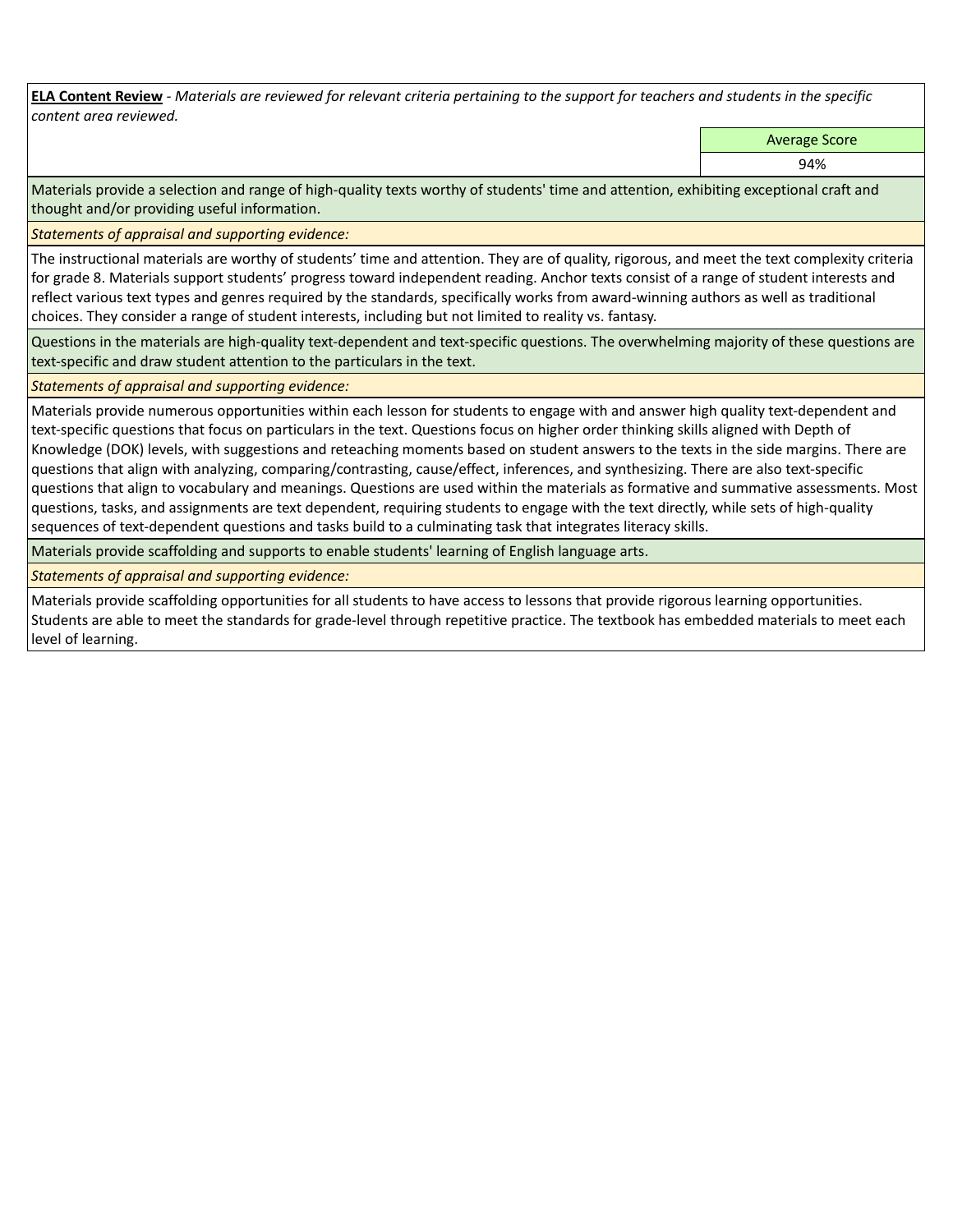**ELA Content Review** *- Materials are reviewed for relevant criteria pertaining to the support for teachers and students in the specific content area reviewed.*

Average Score

94%

Materials provide a selection and range of high-quality texts worthy of students' time and attention, exhibiting exceptional craft and thought and/or providing useful information.

*Statements of appraisal and supporting evidence:* 

The instructional materials are worthy of students' time and attention. They are of quality, rigorous, and meet the text complexity criteria for grade 8. Materials support students' progress toward independent reading. Anchor texts consist of a range of student interests and reflect various text types and genres required by the standards, specifically works from award-winning authors as well as traditional choices. They consider a range of student interests, including but not limited to reality vs. fantasy.

Questions in the materials are high-quality text-dependent and text-specific questions. The overwhelming majority of these questions are text-specific and draw student attention to the particulars in the text.

*Statements of appraisal and supporting evidence:* 

Materials provide numerous opportunities within each lesson for students to engage with and answer high quality text-dependent and text-specific questions that focus on particulars in the text. Questions focus on higher order thinking skills aligned with Depth of Knowledge (DOK) levels, with suggestions and reteaching moments based on student answers to the texts in the side margins. There are questions that align with analyzing, comparing/contrasting, cause/effect, inferences, and synthesizing. There are also text-specific questions that align to vocabulary and meanings. Questions are used within the materials as formative and summative assessments. Most questions, tasks, and assignments are text dependent, requiring students to engage with the text directly, while sets of high-quality sequences of text-dependent questions and tasks build to a culminating task that integrates literacy skills.

Materials provide scaffolding and supports to enable students' learning of English language arts.

*Statements of appraisal and supporting evidence:* 

Materials provide scaffolding opportunities for all students to have access to lessons that provide rigorous learning opportunities. Students are able to meet the standards for grade-level through repetitive practice. The textbook has embedded materials to meet each level of learning.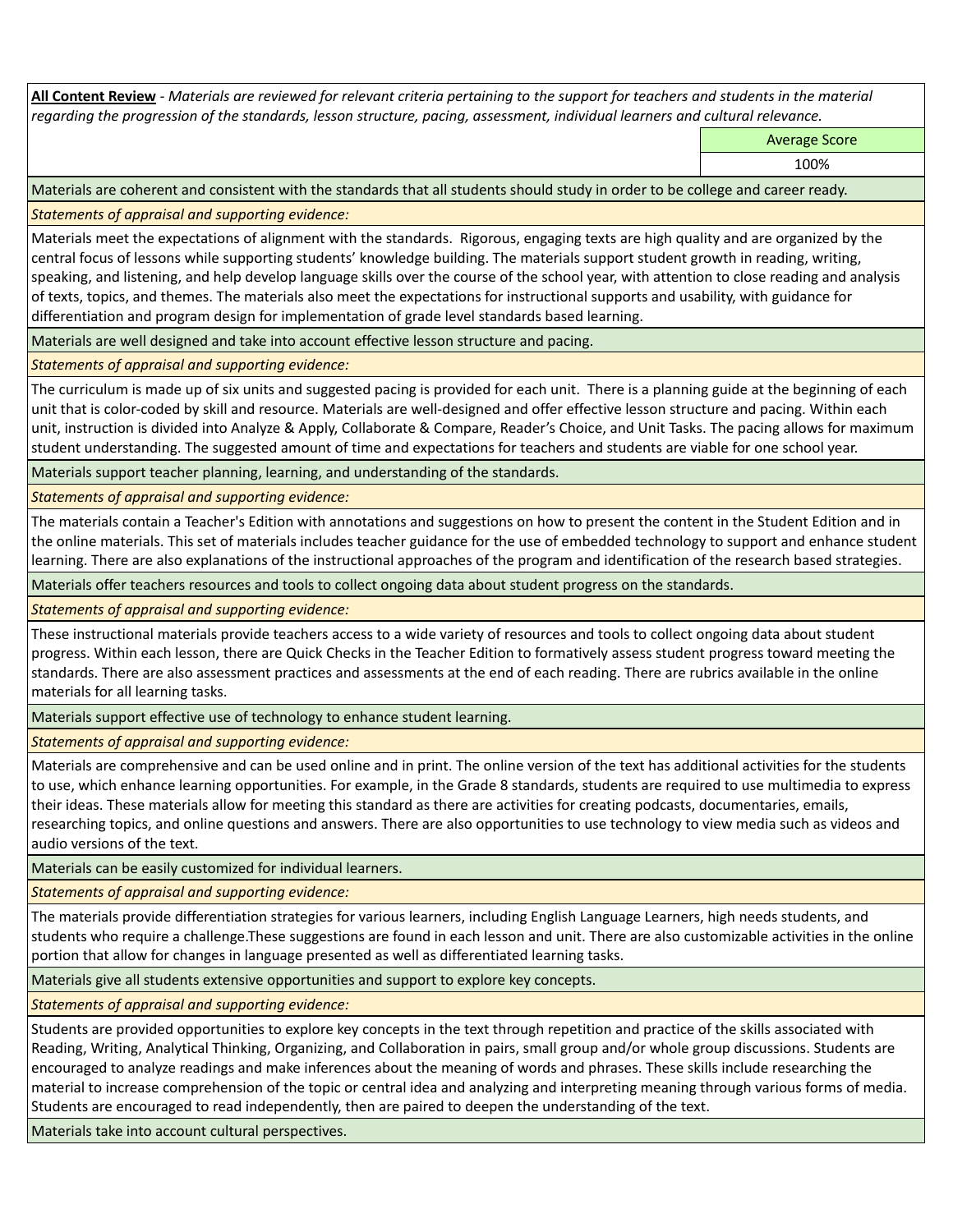**All Content Review** *- Materials are reviewed for relevant criteria pertaining to the support for teachers and students in the material regarding the progression of the standards, lesson structure, pacing, assessment, individual learners and cultural relevance.*

Average Score

100%

Materials are coherent and consistent with the standards that all students should study in order to be college and career ready.

*Statements of appraisal and supporting evidence:*

Materials meet the expectations of alignment with the standards. Rigorous, engaging texts are high quality and are organized by the central focus of lessons while supporting students' knowledge building. The materials support student growth in reading, writing, speaking, and listening, and help develop language skills over the course of the school year, with attention to close reading and analysis of texts, topics, and themes. The materials also meet the expectations for instructional supports and usability, with guidance for differentiation and program design for implementation of grade level standards based learning.

Materials are well designed and take into account effective lesson structure and pacing.

*Statements of appraisal and supporting evidence:*

The curriculum is made up of six units and suggested pacing is provided for each unit. There is a planning guide at the beginning of each unit that is color-coded by skill and resource. Materials are well-designed and offer effective lesson structure and pacing. Within each unit, instruction is divided into Analyze & Apply, Collaborate & Compare, Reader's Choice, and Unit Tasks. The pacing allows for maximum student understanding. The suggested amount of time and expectations for teachers and students are viable for one school year.

Materials support teacher planning, learning, and understanding of the standards.

*Statements of appraisal and supporting evidence:*

The materials contain a Teacher's Edition with annotations and suggestions on how to present the content in the Student Edition and in the online materials. This set of materials includes teacher guidance for the use of embedded technology to support and enhance student learning. There are also explanations of the instructional approaches of the program and identification of the research based strategies.

Materials offer teachers resources and tools to collect ongoing data about student progress on the standards.

*Statements of appraisal and supporting evidence:*

These instructional materials provide teachers access to a wide variety of resources and tools to collect ongoing data about student progress. Within each lesson, there are Quick Checks in the Teacher Edition to formatively assess student progress toward meeting the standards. There are also assessment practices and assessments at the end of each reading. There are rubrics available in the online materials for all learning tasks.

Materials support effective use of technology to enhance student learning.

*Statements of appraisal and supporting evidence:*

Materials are comprehensive and can be used online and in print. The online version of the text has additional activities for the students to use, which enhance learning opportunities. For example, in the Grade 8 standards, students are required to use multimedia to express their ideas. These materials allow for meeting this standard as there are activities for creating podcasts, documentaries, emails, researching topics, and online questions and answers. There are also opportunities to use technology to view media such as videos and audio versions of the text.

Materials can be easily customized for individual learners.

*Statements of appraisal and supporting evidence:* 

The materials provide differentiation strategies for various learners, including English Language Learners, high needs students, and students who require a challenge.These suggestions are found in each lesson and unit. There are also customizable activities in the online portion that allow for changes in language presented as well as differentiated learning tasks.

Materials give all students extensive opportunities and support to explore key concepts.

*Statements of appraisal and supporting evidence:*

Students are provided opportunities to explore key concepts in the text through repetition and practice of the skills associated with Reading, Writing, Analytical Thinking, Organizing, and Collaboration in pairs, small group and/or whole group discussions. Students are encouraged to analyze readings and make inferences about the meaning of words and phrases. These skills include researching the material to increase comprehension of the topic or central idea and analyzing and interpreting meaning through various forms of media. Students are encouraged to read independently, then are paired to deepen the understanding of the text.

Materials take into account cultural perspectives.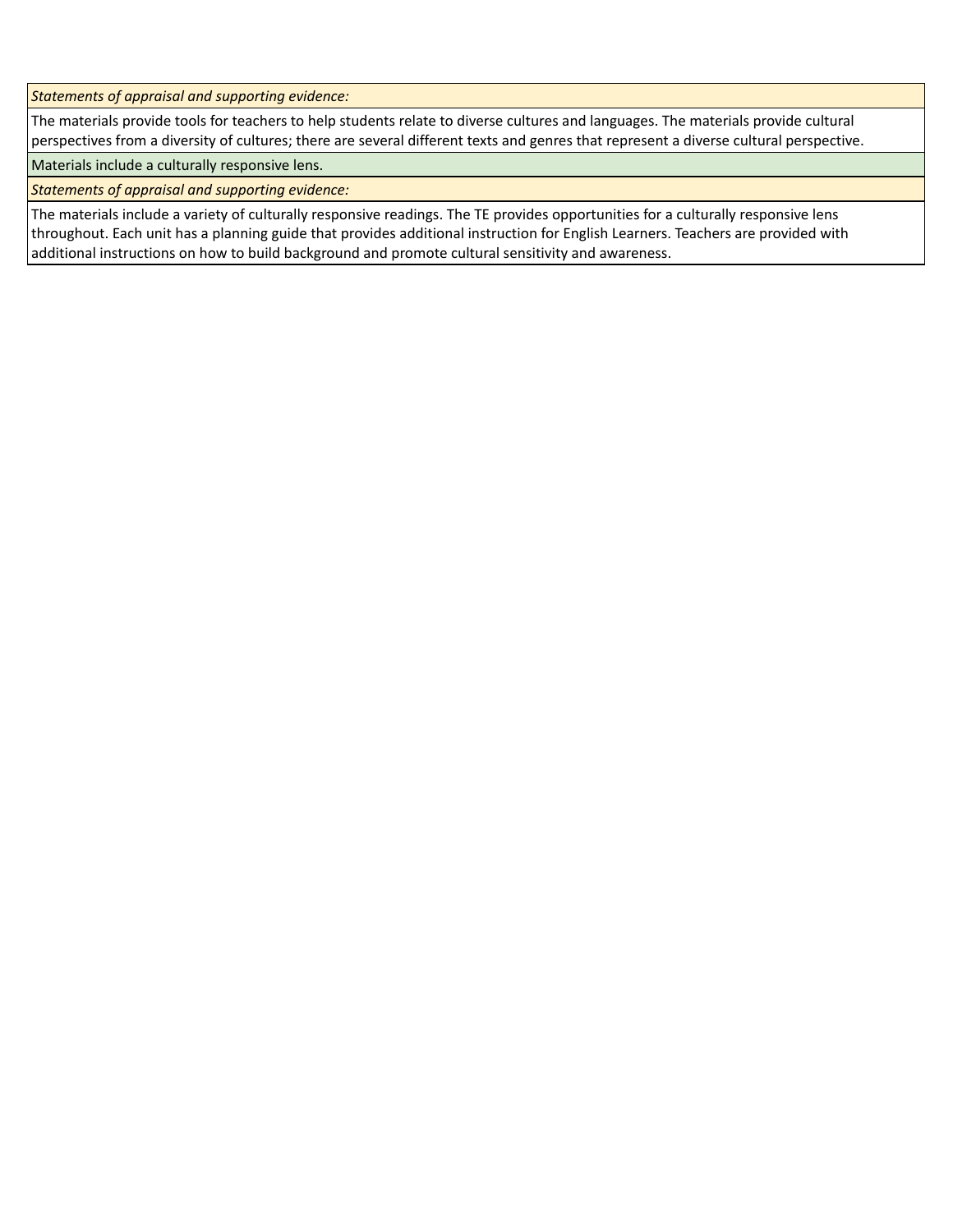*Statements of appraisal and supporting evidence:*

The materials provide tools for teachers to help students relate to diverse cultures and languages. The materials provide cultural perspectives from a diversity of cultures; there are several different texts and genres that represent a diverse cultural perspective.

Materials include a culturally responsive lens.

*Statements of appraisal and supporting evidence:*

The materials include a variety of culturally responsive readings. The TE provides opportunities for a culturally responsive lens throughout. Each unit has a planning guide that provides additional instruction for English Learners. Teachers are provided with additional instructions on how to build background and promote cultural sensitivity and awareness.